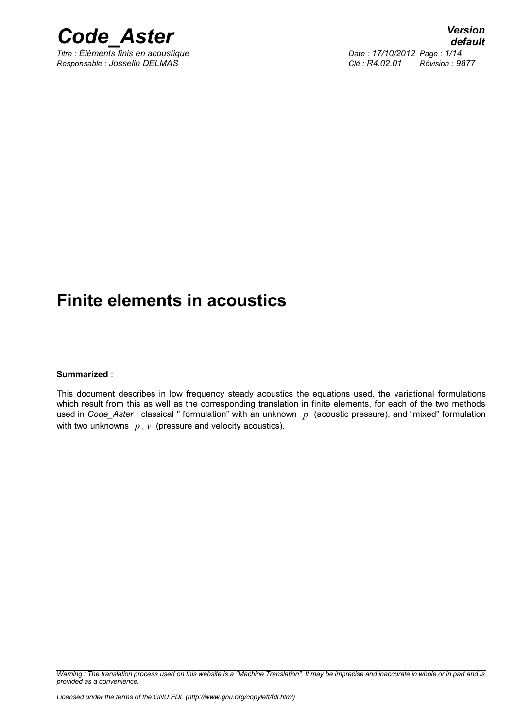

*<i>Titre : Éléments finis en acoustique Responsable : Josselin DELMAS Clé : R4.02.01 Révision : 9877*

## **Finite elements in acoustics**

### **Summarized** :

This document describes in low frequency steady acoustics the equations used, the variational formulations which result from this as well as the corresponding translation in finite elements, for each of the two methods used in *Code\_Aster* : classical '' formulation" with an unknown *p* (acoustic pressure), and "mixed" formulation with two unknowns *p , v* (pressure and velocity acoustics).

*Warning : The translation process used on this website is a "Machine Translation". It may be imprecise and inaccurate in whole or in part and is provided as a convenience.*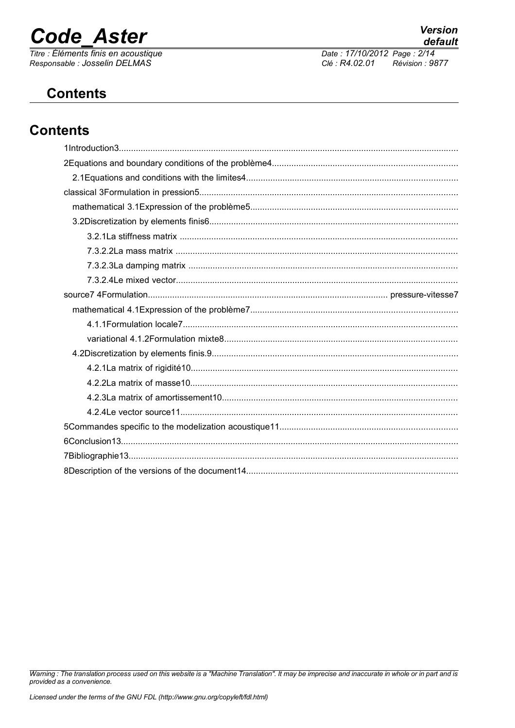# **Code Aster**

Titre : Éléments finis en acoustique Responsable : Josselin DELMAS

Date: 17/10/2012 Page: 2/14 Clé : R4.02.01 Révision : 9877

## **Contents**

## **Contents**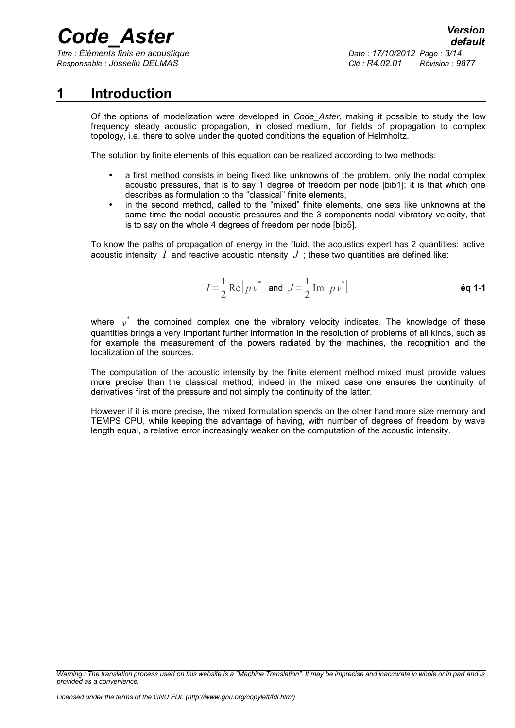*Titre : Éléments finis en acoustique Date : 17/10/2012 Page : 3/14 Responsable : Josselin DELMAS Clé : R4.02.01 Révision : 9877*

## **1 Introduction**

Of the options of modelization were developed in *Code\_Aster*, making it possible to study the low frequency steady acoustic propagation, in closed medium, for fields of propagation to complex topology, i.e. there to solve under the quoted conditions the equation of Helmholtz.

The solution by finite elements of this equation can be realized according to two methods:

- a first method consists in being fixed like unknowns of the problem, only the nodal complex acoustic pressures, that is to say 1 degree of freedom per node [bib1]; it is that which one describes as formulation to the "classical" finite elements,
- in the second method, called to the "mixed" finite elements, one sets like unknowns at the same time the nodal acoustic pressures and the 3 components nodal vibratory velocity, that is to say on the whole 4 degrees of freedom per node [bib5].

To know the paths of propagation of energy in the fluid, the acoustics expert has 2 quantities: active acoustic intensity *I* and reactive acoustic intensity *J* ; these two quantities are defined like:

$$
I = \frac{1}{2} \operatorname{Re} \left[ p v^* \right] \text{ and } J = \frac{1}{2} \operatorname{Im} \left[ p v^* \right]
$$

where  $v^*$  the combined complex one the vibratory velocity indicates. The knowledge of these quantities brings a very important further information in the resolution of problems of all kinds, such as for example the measurement of the powers radiated by the machines, the recognition and the localization of the sources.

The computation of the acoustic intensity by the finite element method mixed must provide values more precise than the classical method; indeed in the mixed case one ensures the continuity of derivatives first of the pressure and not simply the continuity of the latter.

However if it is more precise, the mixed formulation spends on the other hand more size memory and TEMPS CPU, while keeping the advantage of having, with number of degrees of freedom by wave length equal, a relative error increasingly weaker on the computation of the acoustic intensity.

*Warning : The translation process used on this website is a "Machine Translation". It may be imprecise and inaccurate in whole or in part and is provided as a convenience.*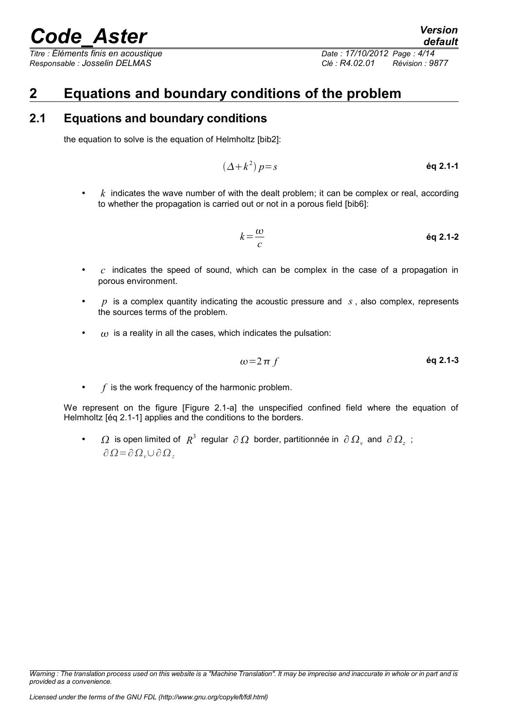*Titre : Éléments finis en acoustique Date : 17/10/2012 Page : 4/14 Responsable : Josselin DELMAS Clé : R4.02.01 Révision : 9877*

## **2 Equations and boundary conditions of the problem**

## **2.1 Equations and boundary conditions**

the equation to solve is the equation of Helmholtz [bib2]:

$$
(\Delta + k^2) p = s
$$

 $k$  indicates the wave number of with the dealt problem; it can be complex or real, according to whether the propagation is carried out or not in a porous field [bib6]:

$$
k = \frac{\omega}{c}
$$
 \t\t\t\t $\text{eq } 2.1-2$ 

- $\overline{c}$  indicates the speed of sound, which can be complex in the case of a propagation in porous environment.
- *p* is a complex quantity indicating the acoustic pressure and *s* , also complex, represents the sources terms of the problem.
- $\omega$  is a reality in all the cases, which indicates the pulsation:

$$
\omega = 2 \pi f \qquad \qquad \text{Eq 2.1-3}
$$

 $f$  is the work frequency of the harmonic problem.

We represent on the figure [Figure 2.1-a] the unspecified confined field where the equation of Helmholtz [éq 2.1-1] applies and the conditions to the borders.

•  $\Omega$  is open limited of  $R^3$  regular  $\partial \Omega$  border, partitionnée in  $\partial \Omega$ <sub>v</sub> and  $\partial \Omega$ <sub>z</sub>;  $∂Ω=∂Ω<sub>ν</sub>∪∂Ω<sub>z</sub>$ 

*Warning : The translation process used on this website is a "Machine Translation". It may be imprecise and inaccurate in whole or in part and is provided as a convenience.*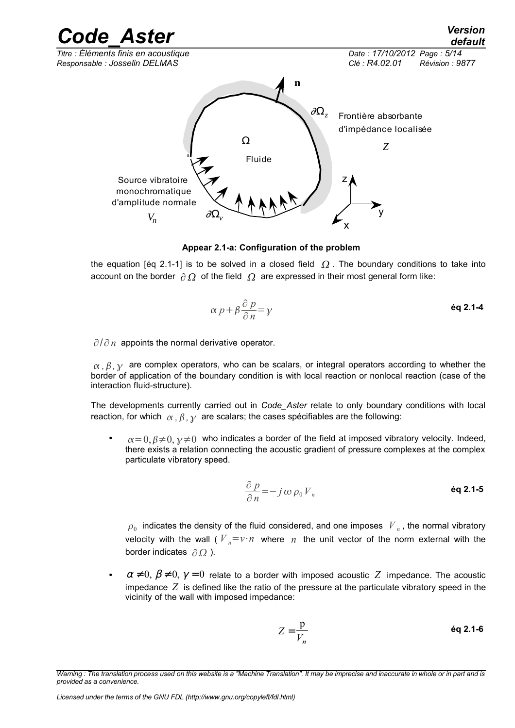

**Appear 2.1-a: Configuration of the problem**

the equation [éq 2.1-1] is to be solved in a closed field  $\Omega$ . The boundary conditions to take into account on the border  $\partial \Omega$  of the field  $\Omega$  are expressed in their most general form like:

$$
\alpha p + \beta \frac{\partial p}{\partial n} = \gamma
$$

∂/∂n appoints the normal derivative operator.

 $\alpha$ ,  $\beta$ ,  $\gamma$  are complex operators, who can be scalars, or integral operators according to whether the border of application of the boundary condition is with local reaction or nonlocal reaction (case of the interaction fluid-structure).

The developments currently carried out in *Code\_Aster* relate to only boundary conditions with local reaction, for which  $\alpha$ ,  $\beta$ ,  $\gamma$  are scalars; the cases spécifiables are the following:

 $\alpha = 0, \beta \neq 0, \gamma \neq 0$  who indicates a border of the field at imposed vibratory velocity. Indeed, there exists a relation connecting the acoustic gradient of pressure complexes at the complex particulate vibratory speed.

$$
\frac{\partial p}{\partial n} = -j \omega \rho_0 V_n
$$

 $\rho_0^+$  indicates the density of the fluid considered, and one imposes  $|V_{\vert n}^+|$ , the normal vibratory velocity with the wall ( $V_n = v \cdot n$  where *n* the unit vector of the norm external with the border indicates  $\partial \Omega$ ).

 $\alpha \neq 0$ ,  $\beta \neq 0$ ,  $\gamma = 0$  relate to a border with imposed acoustic Z impedance. The acoustic impedance *Z* is defined like the ratio of the pressure at the particulate vibratory speed in the vicinity of the wall with imposed impedance:

$$
Z = \frac{p}{V_n}
$$

*Warning : The translation process used on this website is a "Machine Translation". It may be imprecise and inaccurate in whole or in part and is provided as a convenience.*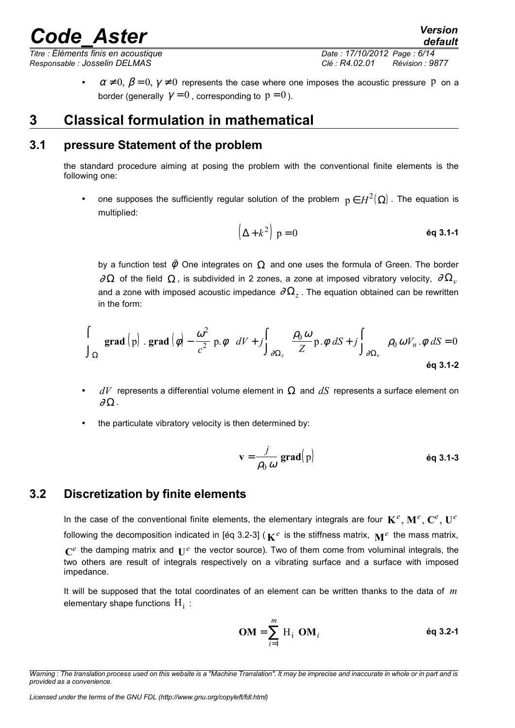*Titre : Éléments finis en acoustique Date : 17/10/2012 Page : 6/14 Responsable : Josselin DELMAS Clé : R4.02.01 Révision : 9877*

*default*

 $\alpha \neq 0$ ,  $\beta = 0$ ,  $\gamma \neq 0$  represents the case where one imposes the acoustic pressure P on a border (generally  $\gamma = 0$ , corresponding to  $p = 0$ ).

## **3 Classical formulation in mathematical**

## **3.1 pressure Statement of the problem**

the standard procedure aiming at posing the problem with the conventional finite elements is the following one:

• one supposes the sufficiently regular solution of the problem  $p \in H^2(\Omega)$ . The equation is multiplied:

$$
\left(\Delta + k^2\right) \, \mathrm{p} = 0 \tag{6q 3.1-1}
$$

by a function test  $\tilde{\phi}$  One integrates on  $\Omega$  and one uses the formula of Green. The border  $\partial\Omega$  of the field  $\Omega$ , is subdivided in 2 zones, a zone at imposed vibratory velocity,  $\partial\Omega$ <sub>*v*</sub> and a zone with imposed acoustic impedance  $\,\partial\Omega_z$  . The equation obtained can be rewritten in the form:

$$
\int_{\Omega} \left( \mathbf{grad} \left( p \right) \cdot \mathbf{grad} \left( \phi \right) - \frac{\omega^2}{c^2} p \cdot \phi \right) dV + j \int_{\partial \Omega_z} \frac{\rho_0 \omega}{Z} p \cdot \phi \ dS + j \int_{\partial \Omega_y} \rho_0 \omega V_n \cdot \phi \ dS = 0
$$

- $dV$  represents a differential volume element in  $\Omega$  and  $dS$  represents a surface element on  $\partial\Omega$  .
- the particulate vibratory velocity is then determined by:

$$
\mathbf{v} = \frac{j}{\rho_0 \omega} \, \mathbf{grad}(\mathbf{p}) \tag{6q 3.1-3}
$$

## **3.2 Discretization by finite elements**

In the case of the conventional finite elements, the elementary integrals are four  $\mathbf{K}^e$ ,  $\mathbf{M}^e$ ,  $\mathbf{C}^e$ ,  $\mathbf{U}^e$ following the decomposition indicated in [éq 3.2-3] (  $\mathbf{K}^e$  is the stiffness matrix,  $\mathbf{M}^e$  the mass matrix,  $\mathbf{C}^e$  the damping matrix and  $\mathbf{U}^e$  the vector source). Two of them come from voluminal integrals, the two others are result of integrals respectively on a vibrating surface and a surface with imposed impedance.

It will be supposed that the total coordinates of an element can be written thanks to the data of *m* elementary shape functions  $\,{\rm H}_1^{}$  :

$$
OM = \sum_{i=1}^{m} H_i OM_i
$$
éq 3.2-1

*Warning : The translation process used on this website is a "Machine Translation". It may be imprecise and inaccurate in whole or in part and is provided as a convenience.*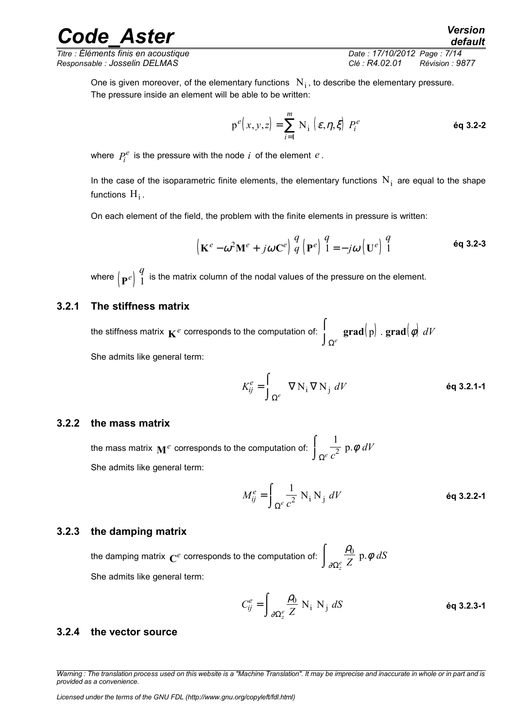*Responsable : Josselin DELMAS Clé : R4.02.01 Révision : 9877*

*Titre : Éléments finis en acoustique Date : 17/10/2012 Page : 7/14*

*default*

One is given moreover, of the elementary functions  $\rm\ N_i$ , to describe the elementary pressure. The pressure inside an element will be able to be written:

$$
p^{e}(x, y, z) = \sum_{i=1}^{m} N_i \left\{ \varepsilon, \eta, \xi \right\} P_i^{e}
$$

where  $P_i^e$  is the pressure with the node  $i$  of the element  $e$  .

In the case of the isoparametric finite elements, the elementary functions  $N_i$  are equal to the shape functions  $H_i$  .

On each element of the field, the problem with the finite elements in pressure is written:

$$
\left(\mathbf{K}^{e} - \omega^{2} \mathbf{M}^{e} + j\omega \mathbf{C}^{e}\right) \stackrel{q}{q} \left(\mathbf{P}^{e}\right) \stackrel{q}{1} = -j\omega \left(\mathbf{U}^{e}\right) \stackrel{q}{1}
$$

where  $\left(\mathbf{P}^{e}\right)\stackrel{q}{1}$  $\frac{4}{1}$  is the matrix column of the nodal values of the pressure on the element.

### **3.2.1 The stiffness matrix**

the stiffness matrix  $\mathbf{K}^e$  corresponds to the computation of:  $|\text{grad}(\textit{p})$  .  $\textbf{grad}(\textit{\phi})$  $\int_{\Omega^e}$  grad $(p)$  . grad $(\phi)$  dV  $\int_{\Omega^e}$  grad $\left( p\right)$  . grad $\left| \phi \right|$ She admits like general term:

$$
K_{ij}^{e} = \int_{\Omega^{e}} \nabla N_{i} \nabla N_{j} dV
$$
éq 3.2.1-1

### **3.2.2 the mass matrix**

the mass matrix  $\mathbf{M}^e$  corresponds to the computation of: 1 2 *c dV*  $\Omega^e$  $\int$  $\int_{\Omega^e} \frac{1}{c^2} \, \mathsf{p} \, \phi$ She admits like general term:

$$
M_{ij}^e = \int_{\Omega^e} \frac{1}{c^2} \mathbf{N}_i \mathbf{N}_j \ dV
$$
éq 3.2.2-1

### **3.2.3 the damping matrix**

the damping matrix  $\mathbf{C}^e$  corresponds to the computation of:  $\int_{\mathbb{R}^e} \frac{\rho_0}{Z} \, \mathrm{p}.\phi$ ∂  $\overline{0}$ *Z dS*  $\Omega_z^e$  $\int$  $\int_{\partial\Omega_{\epsilon}^e} \frac{\rho_0}{Z}$  p. She admits like general term:

$$
C_{ij}^{e} = \int_{\partial \Omega_{z}^{e}} \frac{\rho_{0}}{Z} \text{ N}_{i} \text{ N}_{j} dS
$$
éq 3.2.3-1

#### **3.2.4 the vector source**

*Warning : The translation process used on this website is a "Machine Translation". It may be imprecise and inaccurate in whole or in part and is provided as a convenience.*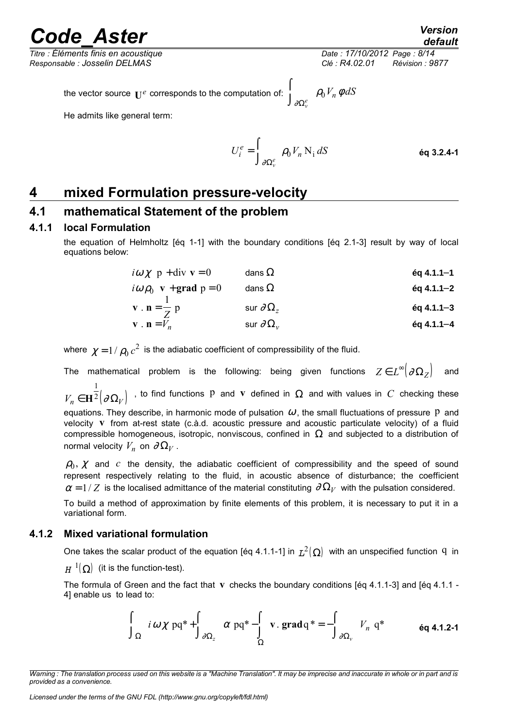*Titre : Éléments finis en acoustique Date : 17/10/2012 Page : 8/14 Responsable : Josselin DELMAS Clé : R4.02.01 Révision : 9877*

*default*<br>Date : 17/10/2012 Page : 8/14

the vector source  $\mathbf{U}^e$  corresponds to the computation of:  $\int_{\partial \Omega_{\nu}^e} \rho_0 V_n \phi dS$ 

He admits like general term:

$$
U_i^e = \int_{\partial \Omega_{\nu}^e} \rho_0 V_n \, \mathcal{N}_1 \, dS
$$

 $\rho_0 V_n \phi$ 

## **4 mixed Formulation pressure-velocity**

### **4.1 mathematical Statement of the problem**

### **4.1.1 local Formulation**

the equation of Helmholtz [éq 1-1] with the boundary conditions [éq 2.1-3] result by way of local equations below:

| $i\omega \chi$ p + div v = 0                                    | dans $\Omega$                      | $\acute{e}q$ 4.1.1-1   |
|-----------------------------------------------------------------|------------------------------------|------------------------|
| $i\omega \rho_0$ <b>v</b> + <b>grad</b> $p = 0$                 | dans $\Omega$                      | $\acute{e}q$ 4.1.1-2   |
| $\mathbf{v} \cdot \mathbf{n} = \frac{\mathbf{v}}{2} \mathbf{p}$ | sur $\partial\Omega_z$             | $\acute{e}q$ 4.1.1 - 3 |
| $\mathbf{v} \cdot \mathbf{n} = V_n$                             | sur $\partial \Omega$ <sub>v</sub> | $\acute{e}q$ 4.1.1 - 4 |

∂

where  $\,\chi=1\,/\,\rho_0\,c^2\,$  is the adiabatic coefficient of compressibility of the fluid.

The mathematical problem is the following: being given functions  $Z\in L^\infty\big(\partial\Omega_Z\big)$  and  $V_n \in \mathbf{H}^2 \big( \partial \Omega_V \big)$ 1  $\frac{1}{2}(\partial \Omega_V)$  , to find functions P and **v** defined in  $\Omega$  and with values in  $C$  checking these equations. They describe, in harmonic mode of pulsation  $\omega$ , the small fluctuations of pressure P and velocity **v** from at-rest state (c.à.d. acoustic pressure and acoustic particulate velocity) of a fluid compressible homogeneous, isotropic, nonviscous, confined in  $\Omega$  and subjected to a distribution of normal velocity  $V_n$  on  $\partial \Omega_V$ .

 $\rho_0, \, \chi \,$  and  $\,c\,$  the density, the adiabatic coefficient of compressibility and the speed of sound represent respectively relating to the fluid, in acoustic absence of disturbance; the coefficient  $\alpha = 1/Z$  is the localised admittance of the material constituting  $\partial \Omega_V$  with the pulsation considered.

To build a method of approximation by finite elements of this problem, it is necessary to put it in a variational form.

### **4.1.2 Mixed variational formulation**

One takes the scalar product of the equation [éq 4.1.1-1] in  $L^2(\Omega)$  with an unspecified function  $q$  in

 $H^{-1}(\Omega)$  (it is the function-test).

The formula of Green and the fact that **v** checks the boundary conditions [éq 4.1.1-3] and [éq 4.1.1 - 4] enable us to lead to:

$$
\int_{\Omega} i \omega \chi \, pq^* + \int_{\partial \Omega_z} \alpha \, pq^* - \int_{\Omega} v . \, \text{grad} \, q^* = - \int_{\partial \Omega_v} V_n \, q^* \qquad \text{Eq 4.1.2-1}
$$

*Warning : The translation process used on this website is a "Machine Translation". It may be imprecise and inaccurate in whole or in part and is provided as a convenience.*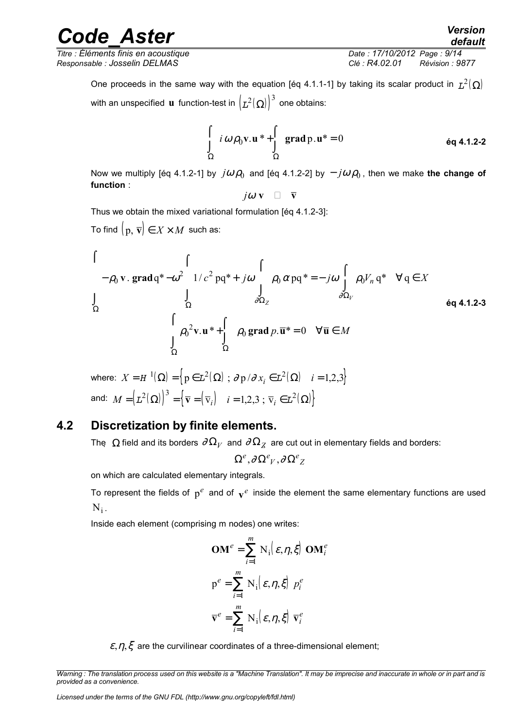*Responsable : Josselin DELMAS Clé : R4.02.01 Révision : 9877*

*Titre : Éléments finis en acoustique Date : 17/10/2012 Page : 9/14*

*default*

One proceeds in the same way with the equation [éq 4.1.1-1] by taking its scalar product in  $L^2(\Omega)$ with an unspecified  $\, {\bf u} \,$  function-test in  $\bigl( L^2(\,\Omega) \bigr)^3 \,$  one obtains:

$$
\int_{\Omega} i \omega \rho_0 \mathbf{v} \cdot \mathbf{u}^* + \int_{\Omega} \text{grad } \mathbf{p} \cdot \mathbf{u}^* = 0
$$
 \n
$$
\text{ éq 4.1.2-2}
$$

Now we multiply [éq 4.1.2-1] by  $j\omega \rho_0$  and [éq 4.1.2-2] by  $-j\omega \rho_0$ , then we make **the change of function** :

$$
j\omega
$$
 **v**  $\Box$   $\overline{v}$ 

Thus we obtain the mixed variational formulation [éq 4.1.2-3]:

To find  $(p, \overline{v}) \in X \times M$  such as:

$$
\begin{cases}\n-\rho_0 \mathbf{v}.\ \mathbf{grad}\ q^* - \omega^2 \int_{\Omega} 1/c^2 \,pq^* + j\omega \int_{\partial \Omega_Z} \rho_0 \alpha \,pq^* = -j\omega \int_{\partial \Omega_V} \rho_0 V_n \,q^* \quad \forall \, q \in X \\
\Omega \qquad \qquad \int_{\Omega} \rho_0^2 \mathbf{v}.\ \mathbf{u}^* + \int_{\Omega} \rho_0 \, \mathbf{grad}\ p.\ \overline{\mathbf{u}}^* = 0 \quad \forall \overline{\mathbf{u}} \in M\n\end{cases}\n\qquad \text{6q 4.1.2-3}
$$

where:  $X=H^{-1}(\mathbf{\Omega})=\left\{ \, \mathrm{p}\in\mathbf{L}^2(\mathbf{\Omega})\, \, ; \, \partial \, \mathrm{p}\, / \partial \, x_i\in\mathbf{L}^2(\mathbf{\Omega})\, \, \, \, \, i=1,2,3 \right\}$ and:  $M = \left(L^2(\Omega)\right)^3 = \left\{ \, \overline{\mathbf{v}} = \left(\,\overline{\mathbf{v}}_i\right) \quad i=1,2,3 \,\, ; \,\, \overline{\mathbf{v}}_i \in L^2(\,\Omega) \right\}$ 

## **4.2 Discretization by finite elements.**

The  $\Omega$  field and its borders  $\partial \Omega_V$  and  $\partial \Omega_Z$  are cut out in elementary fields and borders:

 $\Omega^{e}$ ,∂ $\Omega^{e}{}_{V}$ ,∂ $\Omega^{e}{}_{Z}$ 

on which are calculated elementary integrals.

To represent the fields of  $p^e$  and of  $\mathbf{v}^e$  inside the element the same elementary functions are used  $N_i$  .

Inside each element (comprising m nodes) one writes:

$$
\mathbf{OM}^e = \sum_{i=1}^m \mathbf{N}_i \bigg( \varepsilon, \eta, \xi \bigg) \mathbf{OM}_i^e
$$

$$
\mathbf{p}^e = \sum_{i=1}^m \mathbf{N}_i \bigg( \varepsilon, \eta, \xi \bigg) \ p_i^e
$$

$$
\overline{\mathbf{v}}^e = \sum_{i=1}^m \mathbf{N}_i \bigg( \varepsilon, \eta, \xi \bigg) \ \overline{\mathbf{v}}_i^e
$$

 $\varepsilon$ ,  $\eta$ ,  $\xi$  are the curvilinear coordinates of a three-dimensional element;

*Warning : The translation process used on this website is a "Machine Translation". It may be imprecise and inaccurate in whole or in part and is provided as a convenience.*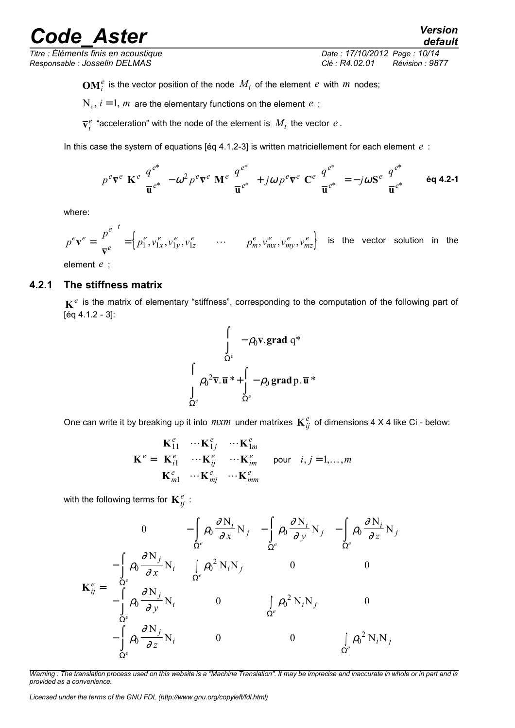*Responsable : Josselin DELMAS Clé : R4.02.01 Révision : 9877*

*default Titre : Éléments finis en acoustique Date : 17/10/2012 Page : 10/14*

 $\mathbf{OM}_i^e$  is the vector position of the node  $M_i$  of the element  $e$  with  $m$  nodes;

 $N_i$ ,  $i = 1$ ,  $m$  are the elementary functions on the element  $e$ ;

 $\bar{\mathbf{v}}^e_i$  "acceleration" with the node of the element is  $\,M_i\,$  the vector  $\,e$  .

In this case the system of equations [éq 4.1.2-3] is written matriciellement for each element *e* :

$$
p^e \overline{\mathbf{v}}^e \mathbf{K}^e \left[ \frac{q^{e^*}}{\overline{\mathbf{u}}^{e^*}} \right] - \omega^2 p^e \overline{\mathbf{v}}^e \mathbf{M}^e \left[ \frac{q^{e^*}}{\overline{\mathbf{u}}^{e^*}} \right] + j\omega p^e \overline{\mathbf{v}}^e \mathbf{C}^e \left[ \frac{q^{e^*}}{\overline{\mathbf{u}}^{e^*}} \right] = -j\omega \mathbf{S}^e \left[ \frac{q^{e^*}}{\overline{\mathbf{u}}^{e^*}} \right] \qquad \text{6q 4.2-1}
$$

where:

$$
p^e \overline{\mathbf{v}}^e = \begin{bmatrix} p^e \\ \overline{\mathbf{v}}^e \end{bmatrix}^t = \begin{cases} p^e_1, \overline{v}^e_{1x}, \overline{v}^e_{1y}, \overline{v}^e_{1z} & \cdots & p^e_m, \overline{v}^e_{mx}, \overline{v}^e_{my}, \overline{v}^e_{mz} \end{cases}
$$
 is the vector solution in the

element *e* ;

### **4.2.1 The stiffness matrix**

**K** *e* is the matrix of elementary "stiffness", corresponding to the computation of the following part of [éq 4.1.2 - 3]:

$$
\begin{cases}\n\int_{\Omega^e} -\rho_0 \overline{\mathbf{v}}.\mathbf{grad } \, \mathbf{q}^* \\
\int_{\Omega^e} \rho_0^2 \overline{\mathbf{v}}.\overline{\mathbf{u}}^* + \int_{\Omega^e} -\rho_0 \, \mathbf{grad } \, \mathbf{p}.\overline{\mathbf{u}}^*\n\end{cases}
$$

One can write it by breaking up it into  $m x m$  under matrixes  $\mathbf{K}_{ij}^e$  of dimensions 4 X 4 like Ci - below:

$$
\mathbf{K}^{e} = \begin{bmatrix} \mathbf{K}_{11}^{e} & \cdots \mathbf{K}_{1j}^{e} & \cdots \mathbf{K}_{1m}^{e} \\ \mathbf{K}_{i1}^{e} & \cdots \mathbf{K}_{ij}^{e} & \cdots \mathbf{K}_{im}^{e} \\ \mathbf{K}_{m1}^{e} & \cdots \mathbf{K}_{mj}^{e} & \cdots \mathbf{K}_{mm}^{e} \end{bmatrix} \text{ pour } i, j = 1, \ldots, m
$$

with the following terms for  $\mathbf{K}_{ij}^e$  :

$$
\mathbf{K}_{ij}^{e} = \begin{bmatrix}\n0 & -\int_{\Omega} \rho_{0} \frac{\partial N_{i}}{\partial x} N_{j} & -\int_{\Omega^{e}} \rho_{0} \frac{\partial N_{i}}{\partial y} N_{j} & -\int_{\Omega^{e}} \rho_{0} \frac{\partial N_{i}}{\partial z} N_{j} \\
-\int_{\Omega^{e}} \rho_{0} \frac{\partial N_{j}}{\partial x} N_{i} & \int_{\Omega^{e}} \rho_{0}^{2} N_{i} N_{j} & 0 & 0 \\
-\int_{\Omega^{e}} \rho_{0} \frac{\partial N_{j}}{\partial y} N_{i} & 0 & \int_{\Omega^{e}} \rho_{0}^{2} N_{i} N_{j} & 0 \\
-\int_{\Omega^{e}} \rho_{0} \frac{\partial N_{j}}{\partial z} N_{i} & 0 & 0 & \int_{\Omega^{e}} \rho_{0}^{2} N_{i} N_{j} \\
\frac{\partial}{\partial z}^{e} & 0 & 0 & \int_{\Omega^{e}} \rho_{0}^{2} N_{i} N_{j}\n\end{bmatrix}
$$

*Warning : The translation process used on this website is a "Machine Translation". It may be imprecise and inaccurate in whole or in part and is provided as a convenience.*

*Licensed under the terms of the GNU FDL (http://www.gnu.org/copyleft/fdl.html)*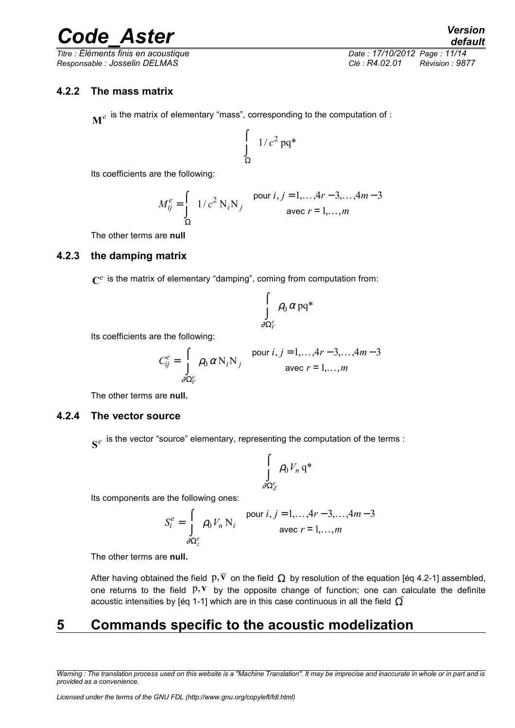*Titre : Éléments finis en acoustique Date : 17/10/2012 Page : 11/14 Responsable : Josselin DELMAS Clé : R4.02.01 Révision : 9877*

### **4.2.2 The mass matrix**

 $\mathbf{M}^e$  is the matrix of elementary "mass", corresponding to the computation of :

$$
\int\limits_{\Omega} 1/c^2 \, \text{p} \text{q}^*
$$

Its coefficients are the following:

$$
M_{ij}^{e} = \int_{\Omega} 1/c^2 \, \text{N}_i \text{N}_j \quad \text{pour } i, j = 1, \dots, 4r - 3, \dots, 4m - 3
$$
  
avec  $r = 1, \dots, m$ 

The other terms are **null**

### **4.2.3 the damping matrix**

 $\mathbf{C}^e$  is the matrix of elementary "damping", coming from computation from:

$$
\int\limits_{\partial \Omega^e_V} \rho_0 \, \alpha \, \mathrm{p} \mathrm{q}^*
$$

Its coefficients are the following:

$$
C_{ij}^{e} = \int_{\partial \Omega_{V}^{e}} \rho_0 \alpha N_i N_j
$$
 pour  $i, j = 1,..., 4r-3,..., 4m-3$   
avec  $r = 1,..., m$ 

The other terms are **null.**

### **4.2.4 The vector source**

 $\mathbf{s}^e$  is the vector "source" elementary, representing the computation of the terms :

$$
\int\limits_{\partial\Omega_Z^e}\rho_0V_n\,\mathrm{q}^*
$$

Its components are the following ones:

$$
S_i^e = \int_{\partial \Omega_z^e} \rho_0 V_n N_i
$$
 pour  $i, j = 1,..., 4r-3,..., 4m-3$   
avec  $r = 1,..., m$ 

The other terms are **null.**

After having obtained the field  $p, \overline{v}$  on the field  $\Omega$  by resolution of the equation [éq 4.2-1] assembled, one returns to the field  $p, v$  by the opposite change of function; one can calculate the definite acoustic intensities by [éq 1-1] which are in this case continuous in all the field  $\tilde{\Omega}$ 

## **5 Commands specific to the acoustic modelization**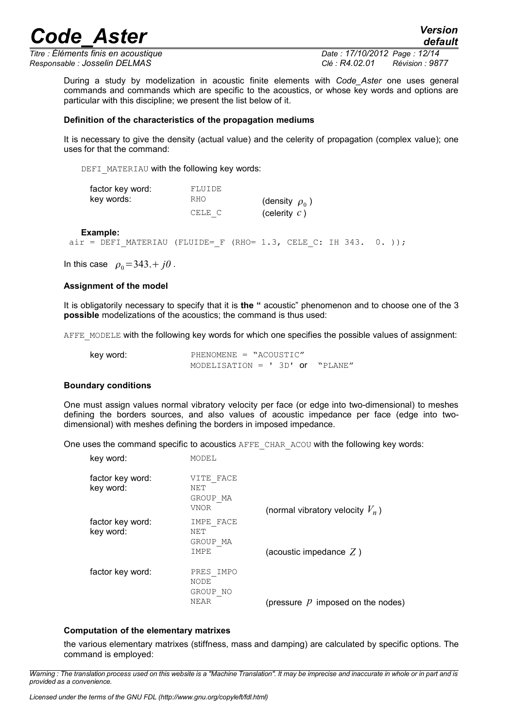*Titre : Éléments finis en acoustique Date : 17/10/2012 Page : 12/14 Responsable : Josselin DELMAS Clé : R4.02.01 Révision : 9877*

During a study by modelization in acoustic finite elements with *Code\_Aster* one uses general commands and commands which are specific to the acoustics, or whose key words and options are particular with this discipline; we present the list below of it.

#### **Definition of the characteristics of the propagation mediums**

It is necessary to give the density (actual value) and the celerity of propagation (complex value); one uses for that the command:

DEFI\_MATERIAU with the following key words:

| factor key word: | FLUIDE     |                     |
|------------------|------------|---------------------|
| key words:       | <b>RHO</b> | (density $\rho_0$ ) |
|                  | CELE C     | (celerity $c$ )     |

**Example:**

air = DEFI MATERIAU (FLUIDE= F (RHO= 1.3, CELE C: IH 343. 0. ));

In this case  $\rho_0 = 343 + j0$ .

#### **Assignment of the model**

It is obligatorily necessary to specify that it is **the "** acoustic" phenomenon and to choose one of the 3 **possible** modelizations of the acoustics; the command is thus used:

AFFE\_MODELE with the following key words for which one specifies the possible values of assignment:

| key word: | PHENOMENE = "ACOUSTIC"            |  |  |
|-----------|-----------------------------------|--|--|
|           | MODELISATION = $'$ 3D' or "PLANE" |  |  |

#### **Boundary conditions**

One must assign values normal vibratory velocity per face (or edge into two-dimensional) to meshes defining the borders sources, and also values of acoustic impedance per face (edge into twodimensional) with meshes defining the borders in imposed impedance.

One uses the command specific to acoustics AFFE\_CHAR\_ACOU with the following key words:

| key word:                     | MODEL                                       |                                     |
|-------------------------------|---------------------------------------------|-------------------------------------|
| factor key word:<br>key word: | VITE FACE<br>NET<br>GROUP MA<br><b>VNOR</b> | (normal vibratory velocity $V_n$ )  |
| factor key word:<br>key word: | IMPE FACE<br>NET<br>GROUP MA<br>IMPE        | (acoustic impedance $Z$ )           |
| factor key word:              | PRES IMPO<br>NODE<br>GROUP NO<br>NEAR       | (pressure $p$ imposed on the nodes) |

#### **Computation of the elementary matrixes**

the various elementary matrixes (stiffness, mass and damping) are calculated by specific options. The command is employed: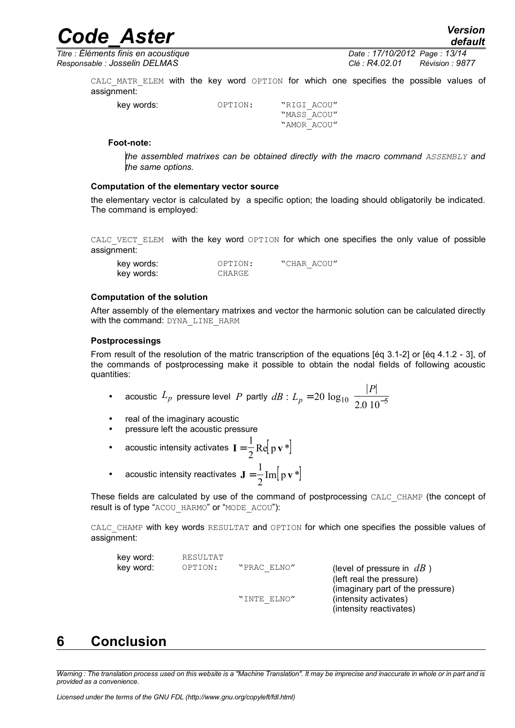*Titre : Éléments finis en acoustique Date : 17/10/2012 Page : 13/14 Responsable : Josselin DELMAS Clé : R4.02.01 Révision : 9877*

*default*

CALC MATR ELEM with the key word OPTION for which one specifies the possible values of assignment:

key words:  $OPTION:$  "RIGI ACOU" "MASS\_ACOU" "AMOR\_ACOU"

#### **Foot-note:**

*the assembled matrixes can be obtained directly with the macro command ASSEMBLY and the same options.*

#### **Computation of the elementary vector source**

the elementary vector is calculated by a specific option; the loading should obligatorily be indicated. The command is employed:

CALC VECT ELEM with the key word OPTION for which one specifies the only value of possible assignment:

| key words: | OPTION: | "CHAR ACOU" |  |
|------------|---------|-------------|--|
| key words: | CHARGE  |             |  |

### **Computation of the solution**

After assembly of the elementary matrixes and vector the harmonic solution can be calculated directly with the command: DYNA\_LINE\_HARM

#### **Postprocessings**

From result of the resolution of the matric transcription of the equations [éq 3.1-2] or [éq 4.1.2 - 3], of the commands of postprocessing make it possible to obtain the nodal fields of following acoustic quantities:

• acoustic 
$$
L_p
$$
 pressure level  $P$  partly  $dB$ :  $L_p = 20 \log_{10} \left( \frac{|P|}{2.0 \times 10^{-5}} \right)$ 

- real of the imaginary acoustic
- pressure left the acoustic pressure

• acoustic intensity activates 
$$
I = \frac{1}{2} \text{Re} [p v *]
$$

• acoustic intensity reactivates  $\mathbf{J} = \frac{1}{2} \text{Im} |\mathbf{p} \mathbf{v}^*|$ 1 2  $Im|p v^*$ 

These fields are calculated by use of the command of postprocessing CALC\_CHAMP (the concept of result is of type "ACOU\_HARMO" or "MODE\_ACOU"):

CALC CHAMP with key words RESULTAT and OPTION for which one specifies the possible values of assignment:

| key word: | RESULTAT |             |  |
|-----------|----------|-------------|--|
| key word: | OPTION:  | "PRAC ELNO" |  |
|           |          |             |  |

(level of pressure in  $dB$ ) (left real the pressure) (imaginary part of the pressure) "INTE ELNO" (intensity activates) (intensity reactivates)

## **6 Conclusion**